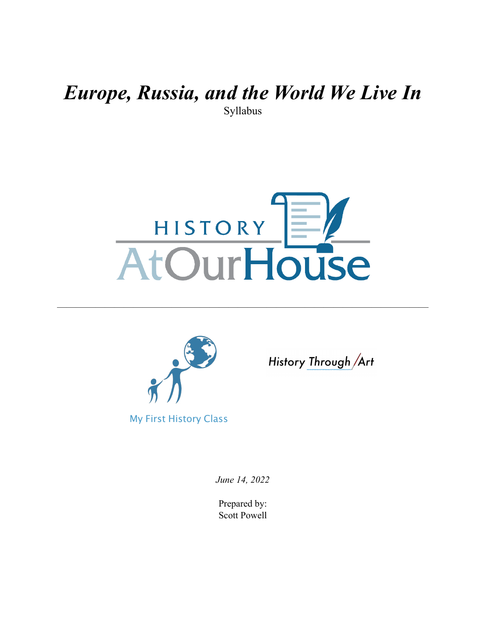### *Europe, Russia, and the World We Live In* Syllabus



———————————————————————————————————————



History Through Art

*June 14, 2022* 

Prepared by: Scott Powell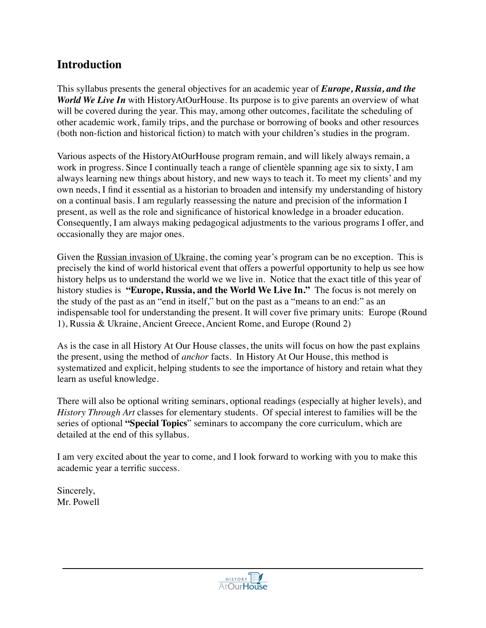### **Introduction**

This syllabus presents the general objectives for an academic year of *Europe, Russia, and the World We Live In* with HistoryAtOurHouse. Its purpose is to give parents an overview of what will be covered during the year. This may, among other outcomes, facilitate the scheduling of other academic work, family trips, and the purchase or borrowing of books and other resources (both non-fiction and historical fiction) to match with your children's studies in the program.

Various aspects of the HistoryAtOurHouse program remain, and will likely always remain, a work in progress. Since I continually teach a range of clientèle spanning age six to sixty, I am always learning new things about history, and new ways to teach it. To meet my clients' and my own needs, I find it essential as a historian to broaden and intensify my understanding of history on a continual basis. I am regularly reassessing the nature and precision of the information I present, as well as the role and significance of historical knowledge in a broader education. Consequently, I am always making pedagogical adjustments to the various programs I offer, and occasionally they are major ones.

Given the Russian invasion of Ukraine, the coming year's program can be no exception. This is precisely the kind of world historical event that offers a powerful opportunity to help us see how history helps us to understand the world we we live in. Notice that the exact title of this year of history studies is **"Europe, Russia, and the World We Live In."** The focus is not merely on the study of the past as an "end in itself," but on the past as a "means to an end:" as an indispensable tool for understanding the present. It will cover five primary units: Europe (Round 1), Russia & Ukraine, Ancient Greece, Ancient Rome, and Europe (Round 2)

As is the case in all History At Our House classes, the units will focus on how the past explains the present, using the method of *anchor* facts. In History At Our House, this method is systematized and explicit, helping students to see the importance of history and retain what they learn as useful knowledge.

There will also be optional writing seminars, optional readings (especially at higher levels), and *History Through Art* classes for elementary students. Of special interest to families will be the series of optional **"Special Topics**" seminars to accompany the core curriculum, which are detailed at the end of this syllabus.

I am very excited about the year to come, and I look forward to working with you to make this academic year a terrific success.

Sincerely, Mr. Powell

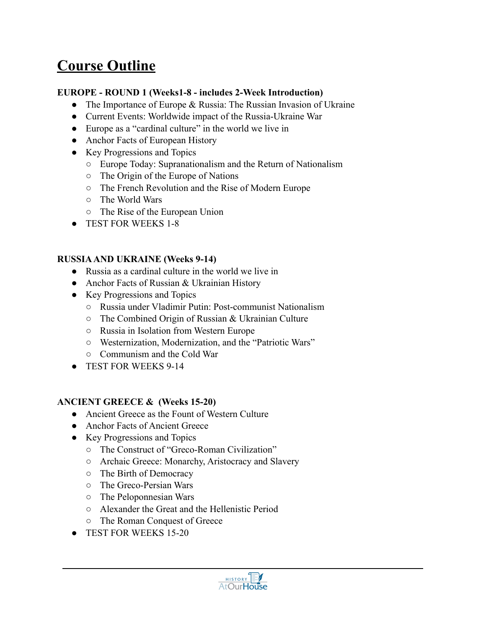## **Course Outline**

#### **EUROPE - ROUND 1 (Weeks1-8 - includes 2-Week Introduction)**

- The Importance of Europe  $&$  Russia: The Russian Invasion of Ukraine
- Current Events: Worldwide impact of the Russia-Ukraine War
- Europe as a "cardinal culture" in the world we live in
- Anchor Facts of European History
- Key Progressions and Topics
	- Europe Today: Supranationalism and the Return of Nationalism
	- The Origin of the Europe of Nations
	- The French Revolution and the Rise of Modern Europe
	- The World Wars
	- The Rise of the European Union
- TEST FOR WEEKS 1-8

#### **RUSSIA AND UKRAINE (Weeks 9-14)**

- Russia as a cardinal culture in the world we live in
- Anchor Facts of Russian & Ukrainian History
- Key Progressions and Topics
	- Russia under Vladimir Putin: Post-communist Nationalism
	- The Combined Origin of Russian & Ukrainian Culture
	- Russia in Isolation from Western Europe
	- Westernization, Modernization, and the "Patriotic Wars"
	- Communism and the Cold War
- TEST FOR WEEKS 9-14

#### **ANCIENT GREECE & (Weeks 15-20)**

- Ancient Greece as the Fount of Western Culture
- Anchor Facts of Ancient Greece
- Key Progressions and Topics
	- The Construct of "Greco-Roman Civilization"
	- Archaic Greece: Monarchy, Aristocracy and Slavery
	- The Birth of Democracy
	- The Greco-Persian Wars
	- The Peloponnesian Wars
	- Alexander the Great and the Hellenistic Period
	- The Roman Conquest of Greece
- TEST FOR WEEKS 15-20

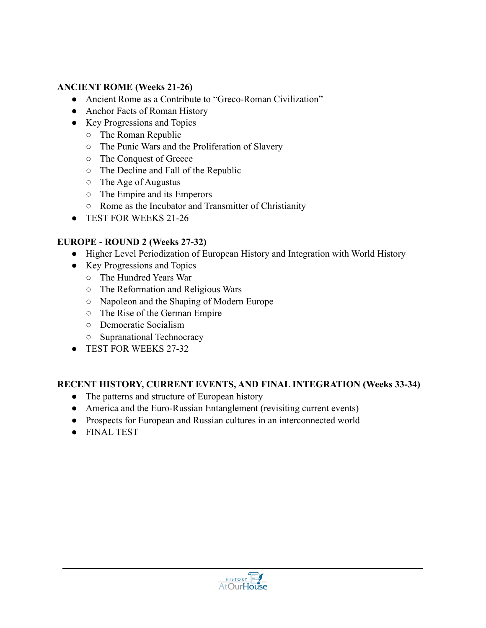#### **ANCIENT ROME (Weeks 21-26)**

- Ancient Rome as a Contribute to "Greco-Roman Civilization"
- Anchor Facts of Roman History
- Key Progressions and Topics
	- The Roman Republic
	- The Punic Wars and the Proliferation of Slavery
	- The Conquest of Greece
	- The Decline and Fall of the Republic
	- The Age of Augustus
	- The Empire and its Emperors
	- Rome as the Incubator and Transmitter of Christianity
- TEST FOR WEEKS 21-26

#### **EUROPE - ROUND 2 (Weeks 27-32)**

- Higher Level Periodization of European History and Integration with World History
- Key Progressions and Topics
	- The Hundred Years War
	- The Reformation and Religious Wars
	- Napoleon and the Shaping of Modern Europe
	- The Rise of the German Empire
	- Democratic Socialism
	- Supranational Technocracy
- TEST FOR WEEKS 27-32

#### **RECENT HISTORY, CURRENT EVENTS, AND FINAL INTEGRATION (Weeks 33-34)**

- The patterns and structure of European history
- America and the Euro-Russian Entanglement (revisiting current events)
- Prospects for European and Russian cultures in an interconnected world
- FINAL TEST

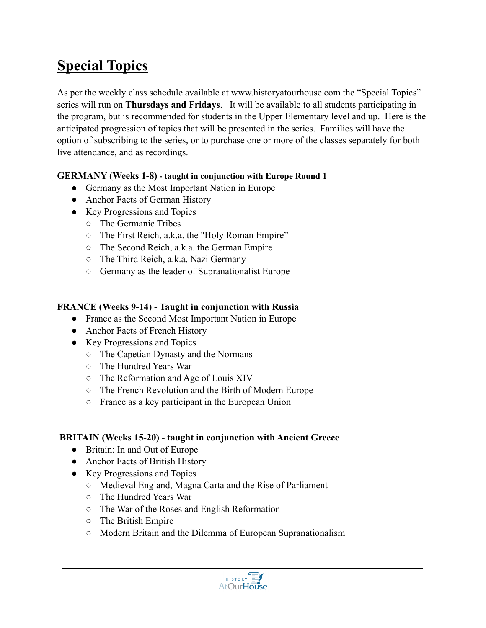# **Special Topics**

As per the weekly class schedule available at [www.historyatourhouse.com](http://www.historyatourhouse.com) the "Special Topics" series will run on **Thursdays and Fridays**. It will be available to all students participating in the program, but is recommended for students in the Upper Elementary level and up. Here is the anticipated progression of topics that will be presented in the series. Families will have the option of subscribing to the series, or to purchase one or more of the classes separately for both live attendance, and as recordings.

#### **GERMANY (Weeks 1-8) - taught in conjunction with Europe Round 1**

- Germany as the Most Important Nation in Europe
- Anchor Facts of German History
- Key Progressions and Topics
	- The Germanic Tribes
	- The First Reich, a.k.a. the "Holy Roman Empire"
	- The Second Reich, a.k.a. the German Empire
	- The Third Reich, a.k.a. Nazi Germany
	- Germany as the leader of Supranationalist Europe

#### **FRANCE (Weeks 9-14) - Taught in conjunction with Russia**

- France as the Second Most Important Nation in Europe
- Anchor Facts of French History
- Key Progressions and Topics
	- The Capetian Dynasty and the Normans
	- The Hundred Years War
	- The Reformation and Age of Louis XIV
	- The French Revolution and the Birth of Modern Europe
	- France as a key participant in the European Union

#### **BRITAIN (Weeks 15-20) - taught in conjunction with Ancient Greece**

- Britain: In and Out of Europe
- Anchor Facts of British History
- Key Progressions and Topics
	- Medieval England, Magna Carta and the Rise of Parliament
	- The Hundred Years War
	- The War of the Roses and English Reformation
	- The British Empire
	- Modern Britain and the Dilemma of European Supranationalism

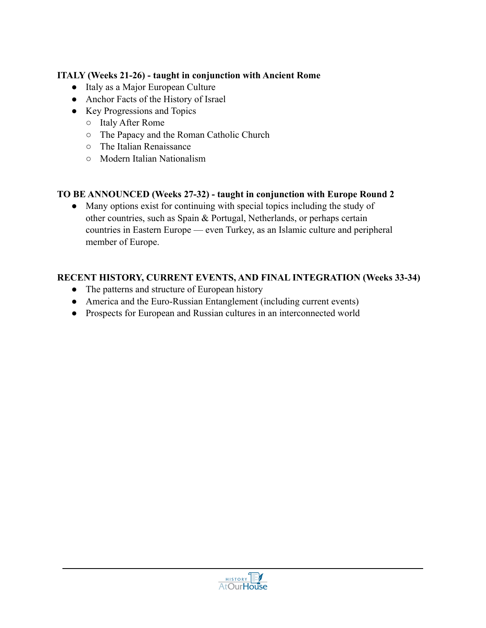#### **ITALY (Weeks 21-26) - taught in conjunction with Ancient Rome**

- Italy as a Major European Culture
- Anchor Facts of the History of Israel
- Key Progressions and Topics
	- Italy After Rome
	- The Papacy and the Roman Catholic Church
	- The Italian Renaissance
	- Modern Italian Nationalism

#### **TO BE ANNOUNCED (Weeks 27-32) - taught in conjunction with Europe Round 2**

● Many options exist for continuing with special topics including the study of other countries, such as Spain & Portugal, Netherlands, or perhaps certain countries in Eastern Europe — even Turkey, as an Islamic culture and peripheral member of Europe.

#### **RECENT HISTORY, CURRENT EVENTS, AND FINAL INTEGRATION (Weeks 33-34)**

- The patterns and structure of European history
- America and the Euro-Russian Entanglement (including current events)
- Prospects for European and Russian cultures in an interconnected world